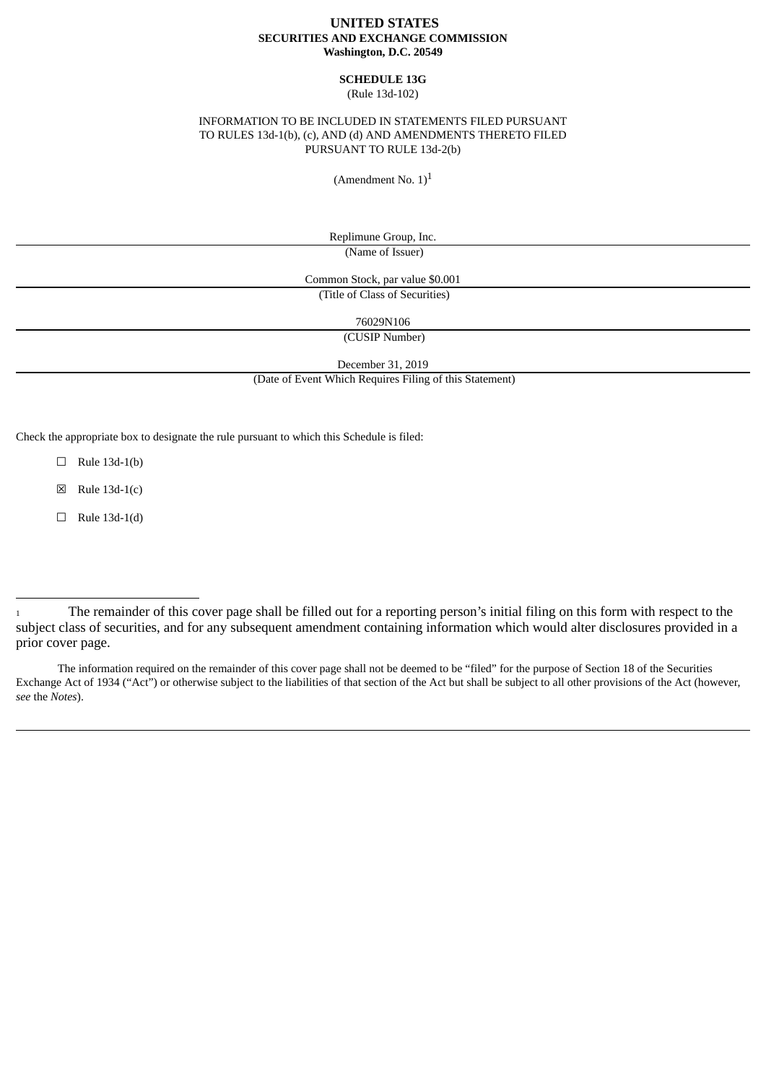### **UNITED STATES SECURITIES AND EXCHANGE COMMISSION Washington, D.C. 20549**

# **SCHEDULE 13G**

(Rule 13d-102)

## INFORMATION TO BE INCLUDED IN STATEMENTS FILED PURSUANT TO RULES 13d-1(b), (c), AND (d) AND AMENDMENTS THERETO FILED PURSUANT TO RULE 13d-2(b)

(Amendment No.  $1$ )<sup>1</sup>

Replimune Group, Inc. (Name of Issuer)

Common Stock, par value \$0.001 (Title of Class of Securities)

76029N106

(CUSIP Number)

December 31, 2019

(Date of Event Which Requires Filing of this Statement)

Check the appropriate box to designate the rule pursuant to which this Schedule is filed:

 $\Box$  Rule 13d-1(b)

 $\boxtimes$  Rule 13d-1(c)

 $\Box$  Rule 13d-1(d)

<sup>1</sup> The remainder of this cover page shall be filled out for a reporting person's initial filing on this form with respect to the subject class of securities, and for any subsequent amendment containing information which would alter disclosures provided in a prior cover page.

The information required on the remainder of this cover page shall not be deemed to be "filed" for the purpose of Section 18 of the Securities Exchange Act of 1934 ("Act") or otherwise subject to the liabilities of that section of the Act but shall be subject to all other provisions of the Act (however, *see* the *Notes*).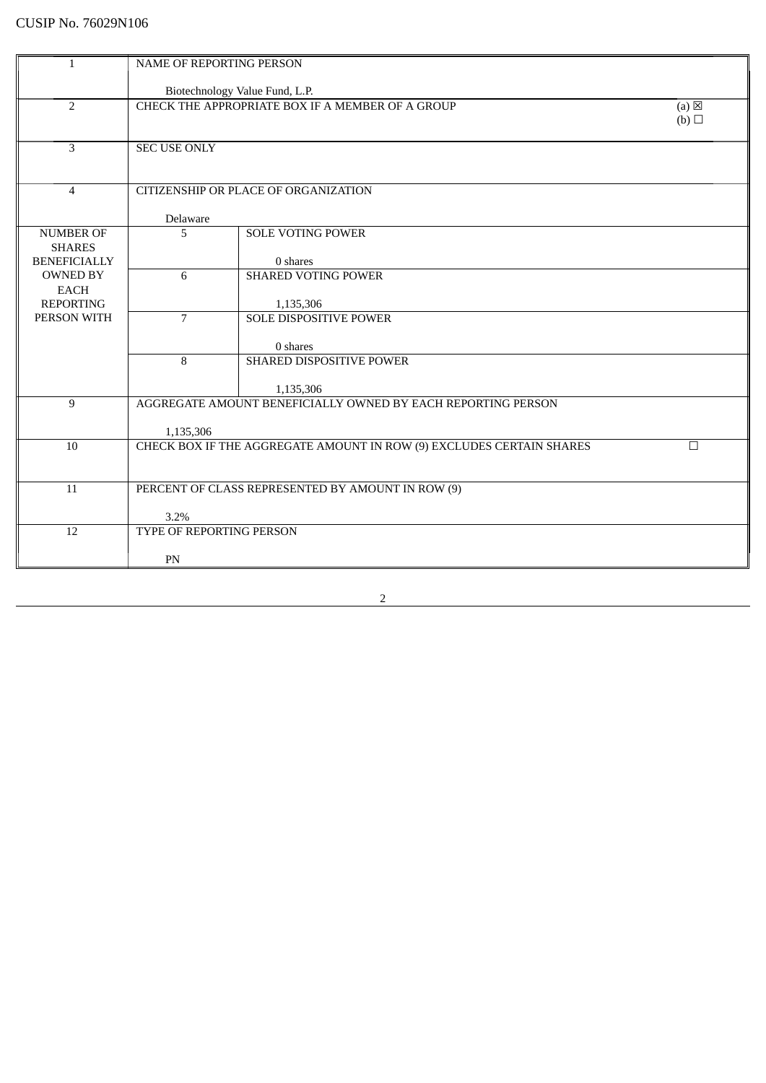| $\mathbf{1}$                      | NAME OF REPORTING PERSON                                                   |                                                                      |        |  |
|-----------------------------------|----------------------------------------------------------------------------|----------------------------------------------------------------------|--------|--|
|                                   |                                                                            | Biotechnology Value Fund, L.P.                                       |        |  |
| $\overline{2}$                    | CHECK THE APPROPRIATE BOX IF A MEMBER OF A GROUP<br>$(a) \boxtimes$<br>(b) |                                                                      |        |  |
| 3                                 | <b>SEC USE ONLY</b>                                                        |                                                                      |        |  |
| $\overline{4}$                    |                                                                            | CITIZENSHIP OR PLACE OF ORGANIZATION                                 |        |  |
|                                   | Delaware                                                                   |                                                                      |        |  |
| <b>NUMBER OF</b><br><b>SHARES</b> | 5                                                                          | <b>SOLE VOTING POWER</b>                                             |        |  |
| <b>BENEFICIALLY</b>               |                                                                            | 0 shares                                                             |        |  |
| <b>OWNED BY</b><br><b>EACH</b>    | 6                                                                          | <b>SHARED VOTING POWER</b>                                           |        |  |
| <b>REPORTING</b>                  |                                                                            | 1,135,306                                                            |        |  |
| PERSON WITH                       | 7                                                                          | <b>SOLE DISPOSITIVE POWER</b>                                        |        |  |
|                                   |                                                                            | 0 shares                                                             |        |  |
|                                   | 8                                                                          | SHARED DISPOSITIVE POWER                                             |        |  |
|                                   |                                                                            | 1,135,306                                                            |        |  |
| 9                                 |                                                                            | AGGREGATE AMOUNT BENEFICIALLY OWNED BY EACH REPORTING PERSON         |        |  |
|                                   | 1,135,306                                                                  |                                                                      |        |  |
| $10\,$                            |                                                                            | CHECK BOX IF THE AGGREGATE AMOUNT IN ROW (9) EXCLUDES CERTAIN SHARES | $\Box$ |  |
|                                   |                                                                            |                                                                      |        |  |
| $\overline{11}$                   | PERCENT OF CLASS REPRESENTED BY AMOUNT IN ROW (9)                          |                                                                      |        |  |
|                                   |                                                                            |                                                                      |        |  |
| 12                                | 3.2%<br>TYPE OF REPORTING PERSON                                           |                                                                      |        |  |
|                                   |                                                                            |                                                                      |        |  |
|                                   | PN                                                                         |                                                                      |        |  |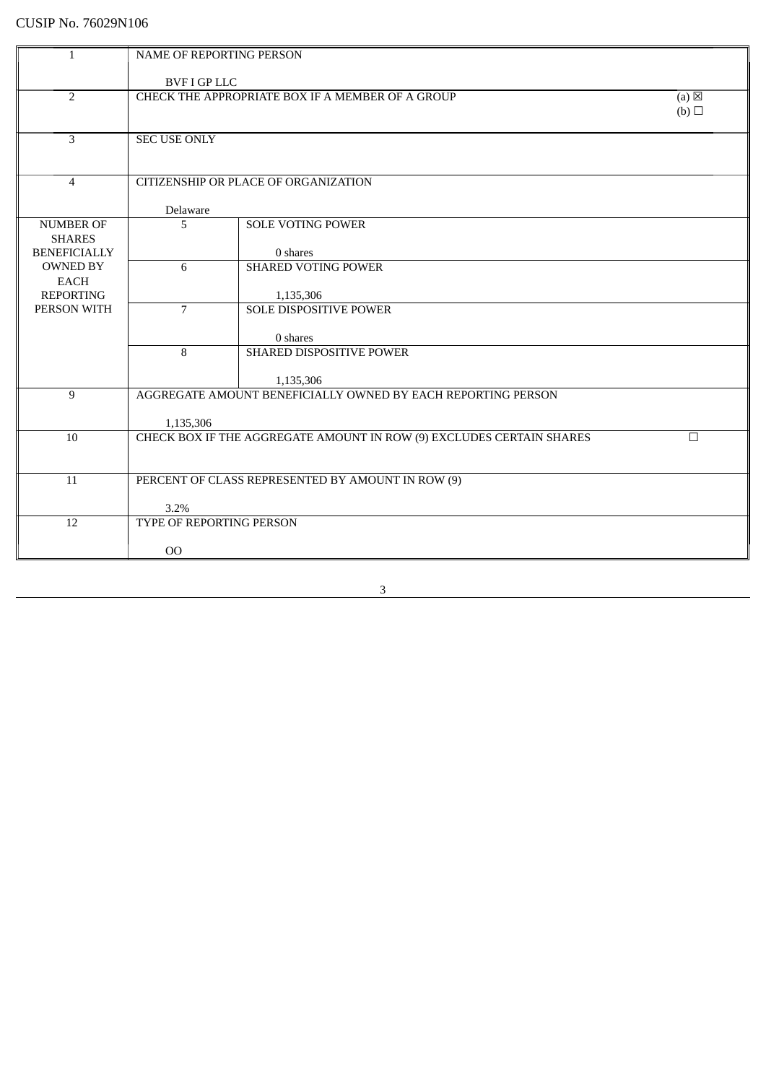| $\mathbf{1}$                      | NAME OF REPORTING PERSON |                                                                      |                 |
|-----------------------------------|--------------------------|----------------------------------------------------------------------|-----------------|
|                                   |                          |                                                                      |                 |
|                                   | <b>BVF I GP LLC</b>      |                                                                      |                 |
| $\overline{2}$                    |                          | CHECK THE APPROPRIATE BOX IF A MEMBER OF A GROUP                     | $(a) \boxtimes$ |
|                                   |                          |                                                                      | (b)             |
| 3                                 | <b>SEC USE ONLY</b>      |                                                                      |                 |
|                                   |                          |                                                                      |                 |
|                                   |                          |                                                                      |                 |
| $\overline{4}$                    |                          | CITIZENSHIP OR PLACE OF ORGANIZATION                                 |                 |
|                                   |                          |                                                                      |                 |
|                                   | Delaware                 |                                                                      |                 |
| <b>NUMBER OF</b><br><b>SHARES</b> | 5                        | <b>SOLE VOTING POWER</b>                                             |                 |
| <b>BENEFICIALLY</b>               |                          | 0 shares                                                             |                 |
| <b>OWNED BY</b>                   | 6                        | <b>SHARED VOTING POWER</b>                                           |                 |
| <b>EACH</b>                       |                          |                                                                      |                 |
| <b>REPORTING</b>                  |                          | 1,135,306                                                            |                 |
| PERSON WITH                       | $\overline{7}$           | <b>SOLE DISPOSITIVE POWER</b>                                        |                 |
|                                   |                          | 0 shares                                                             |                 |
|                                   | 8                        | SHARED DISPOSITIVE POWER                                             |                 |
|                                   |                          |                                                                      |                 |
|                                   |                          | 1,135,306                                                            |                 |
| 9                                 |                          | AGGREGATE AMOUNT BENEFICIALLY OWNED BY EACH REPORTING PERSON         |                 |
|                                   |                          |                                                                      |                 |
| 10                                | 1,135,306                | CHECK BOX IF THE AGGREGATE AMOUNT IN ROW (9) EXCLUDES CERTAIN SHARES | $\Box$          |
|                                   |                          |                                                                      |                 |
|                                   |                          |                                                                      |                 |
| 11                                |                          | PERCENT OF CLASS REPRESENTED BY AMOUNT IN ROW (9)                    |                 |
|                                   |                          |                                                                      |                 |
|                                   | 3.2%                     |                                                                      |                 |
| 12                                | TYPE OF REPORTING PERSON |                                                                      |                 |
|                                   | 00                       |                                                                      |                 |
|                                   |                          |                                                                      |                 |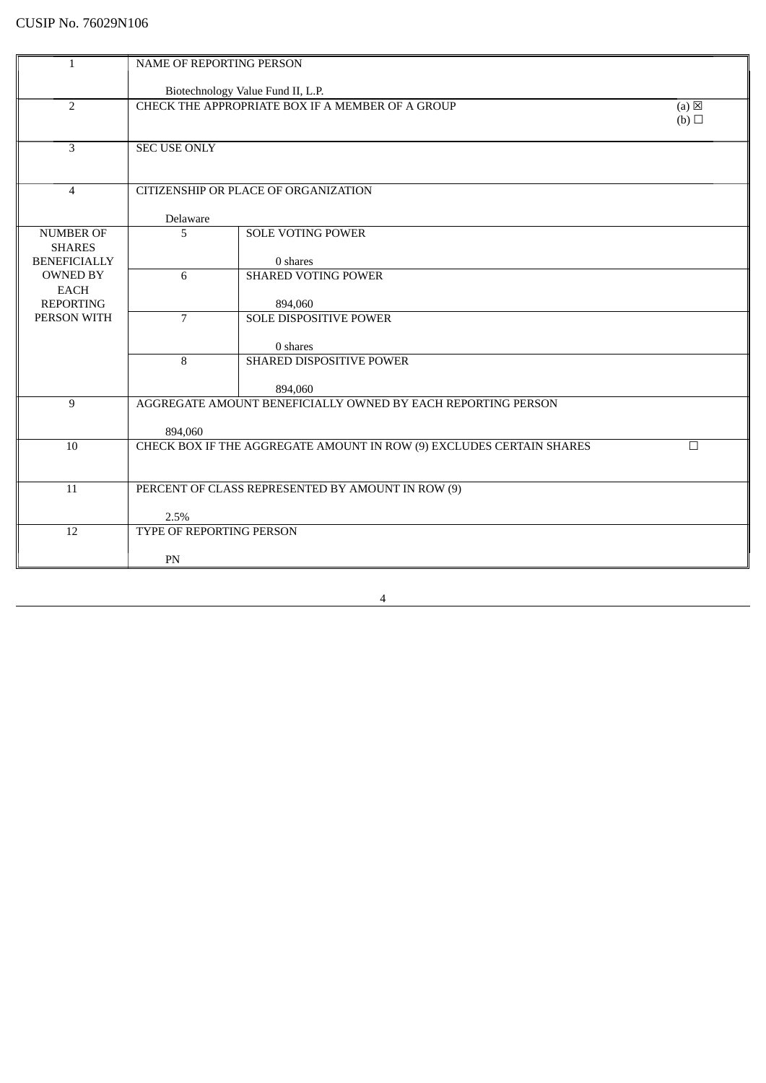| $\mathbf{1}$                         | NAME OF REPORTING PERSON |                                                                            |        |  |
|--------------------------------------|--------------------------|----------------------------------------------------------------------------|--------|--|
|                                      |                          | Biotechnology Value Fund II, L.P.                                          |        |  |
| $\overline{2}$                       |                          | CHECK THE APPROPRIATE BOX IF A MEMBER OF A GROUP<br>$(a) \boxtimes$<br>(b) |        |  |
| 3                                    | SEC USE ONLY             |                                                                            |        |  |
| $\overline{4}$                       |                          | CITIZENSHIP OR PLACE OF ORGANIZATION                                       |        |  |
|                                      | Delaware                 |                                                                            |        |  |
| <b>NUMBER OF</b>                     | 5                        | <b>SOLE VOTING POWER</b>                                                   |        |  |
| <b>SHARES</b><br><b>BENEFICIALLY</b> |                          | 0 shares                                                                   |        |  |
| <b>OWNED BY</b>                      | 6                        | <b>SHARED VOTING POWER</b>                                                 |        |  |
| <b>EACH</b><br><b>REPORTING</b>      |                          | 894,060                                                                    |        |  |
| PERSON WITH                          | $\overline{7}$           | <b>SOLE DISPOSITIVE POWER</b>                                              |        |  |
|                                      |                          | 0 shares                                                                   |        |  |
|                                      | 8                        | SHARED DISPOSITIVE POWER                                                   |        |  |
|                                      |                          | 894,060                                                                    |        |  |
| 9                                    |                          | AGGREGATE AMOUNT BENEFICIALLY OWNED BY EACH REPORTING PERSON               |        |  |
|                                      | 894,060                  |                                                                            |        |  |
| 10                                   |                          | CHECK BOX IF THE AGGREGATE AMOUNT IN ROW (9) EXCLUDES CERTAIN SHARES       | $\Box$ |  |
|                                      |                          |                                                                            |        |  |
| 11                                   |                          | PERCENT OF CLASS REPRESENTED BY AMOUNT IN ROW (9)                          |        |  |
|                                      | 2.5%                     |                                                                            |        |  |
| 12                                   | TYPE OF REPORTING PERSON |                                                                            |        |  |
|                                      | PN                       |                                                                            |        |  |
|                                      |                          |                                                                            |        |  |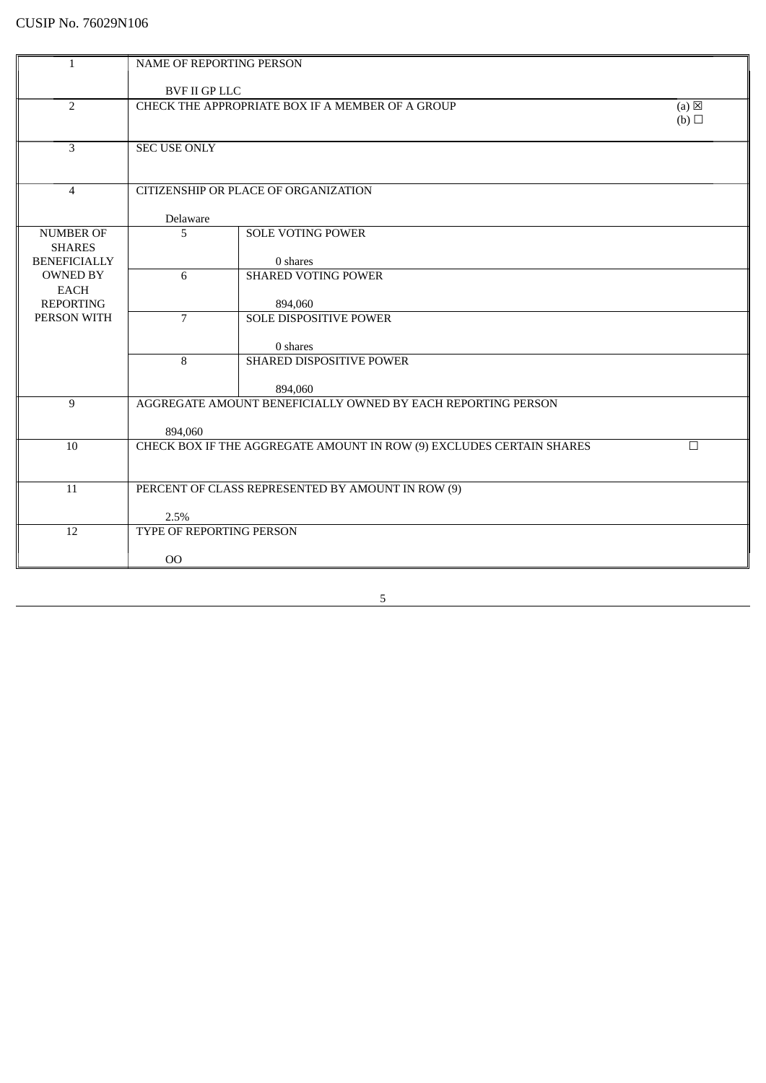| $\mathbf{1}$                           | <b>NAME OF REPORTING PERSON</b> |                                                                      |                        |
|----------------------------------------|---------------------------------|----------------------------------------------------------------------|------------------------|
|                                        |                                 |                                                                      |                        |
|                                        | <b>BVF II GP LLC</b>            |                                                                      |                        |
| $\overline{2}$                         |                                 | CHECK THE APPROPRIATE BOX IF A MEMBER OF A GROUP                     | $(a) \boxtimes$<br>(b) |
|                                        |                                 |                                                                      |                        |
| 3                                      | <b>SEC USE ONLY</b>             |                                                                      |                        |
|                                        |                                 |                                                                      |                        |
|                                        |                                 |                                                                      |                        |
| $\overline{4}$                         |                                 | CITIZENSHIP OR PLACE OF ORGANIZATION                                 |                        |
|                                        | Delaware                        |                                                                      |                        |
| <b>NUMBER OF</b>                       | 5                               | <b>SOLE VOTING POWER</b>                                             |                        |
| <b>SHARES</b>                          |                                 |                                                                      |                        |
| <b>BENEFICIALLY</b><br><b>OWNED BY</b> | 6                               | 0 shares<br><b>SHARED VOTING POWER</b>                               |                        |
| <b>EACH</b>                            |                                 |                                                                      |                        |
| <b>REPORTING</b>                       |                                 | 894,060                                                              |                        |
| PERSON WITH                            | $\overline{7}$                  | <b>SOLE DISPOSITIVE POWER</b>                                        |                        |
|                                        |                                 |                                                                      |                        |
|                                        | 8                               | 0 shares<br>SHARED DISPOSITIVE POWER                                 |                        |
|                                        |                                 |                                                                      |                        |
|                                        |                                 | 894,060                                                              |                        |
| 9                                      |                                 | AGGREGATE AMOUNT BENEFICIALLY OWNED BY EACH REPORTING PERSON         |                        |
|                                        | 894,060                         |                                                                      |                        |
| 10                                     |                                 | CHECK BOX IF THE AGGREGATE AMOUNT IN ROW (9) EXCLUDES CERTAIN SHARES | $\Box$                 |
|                                        |                                 |                                                                      |                        |
|                                        |                                 |                                                                      |                        |
| 11                                     |                                 | PERCENT OF CLASS REPRESENTED BY AMOUNT IN ROW (9)                    |                        |
|                                        | 2.5%                            |                                                                      |                        |
| 12                                     | TYPE OF REPORTING PERSON        |                                                                      |                        |
|                                        |                                 |                                                                      |                        |
|                                        | 00                              |                                                                      |                        |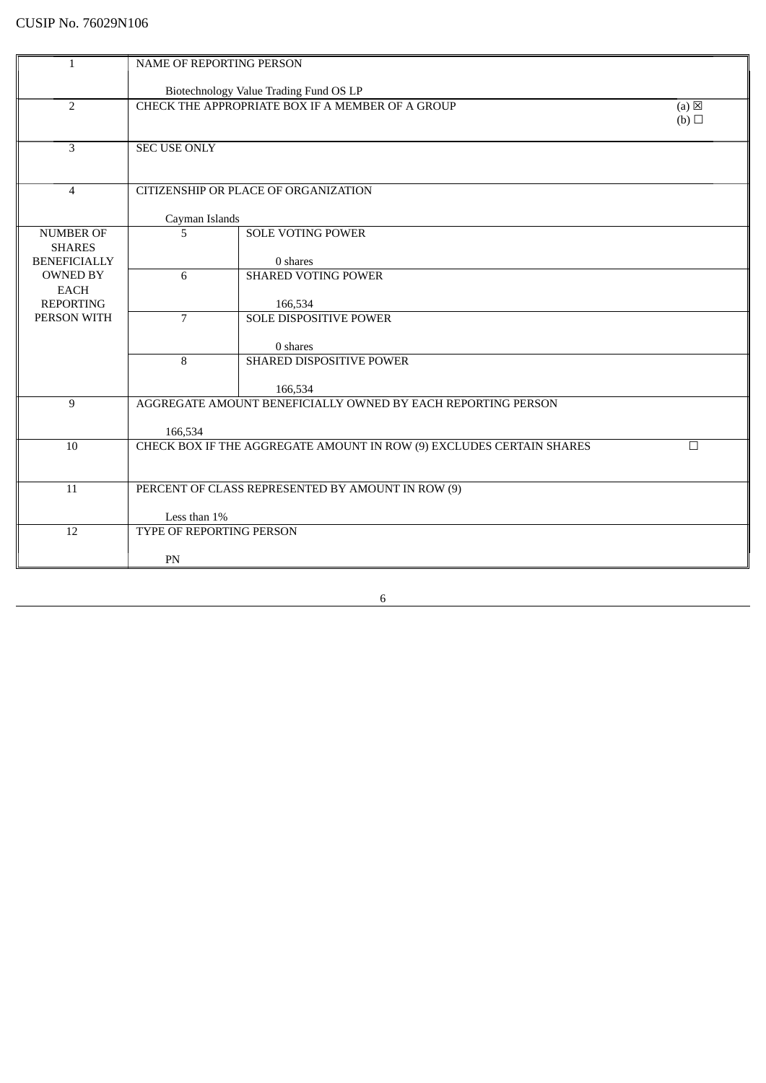| $\mathbf{1}$                           | NAME OF REPORTING PERSON                                |                                                                      |        |
|----------------------------------------|---------------------------------------------------------|----------------------------------------------------------------------|--------|
|                                        |                                                         |                                                                      |        |
|                                        | Biotechnology Value Trading Fund OS LP                  |                                                                      |        |
| $\overline{2}$                         | CHECK THE APPROPRIATE BOX IF A MEMBER OF A GROUP<br>(a) |                                                                      |        |
|                                        |                                                         |                                                                      | (b)    |
|                                        |                                                         |                                                                      |        |
| 3                                      | <b>SEC USE ONLY</b>                                     |                                                                      |        |
|                                        |                                                         |                                                                      |        |
| $\overline{4}$                         |                                                         | CITIZENSHIP OR PLACE OF ORGANIZATION                                 |        |
|                                        |                                                         |                                                                      |        |
|                                        | Cayman Islands                                          |                                                                      |        |
| <b>NUMBER OF</b>                       | 5                                                       | <b>SOLE VOTING POWER</b>                                             |        |
| <b>SHARES</b>                          |                                                         |                                                                      |        |
| <b>BENEFICIALLY</b><br><b>OWNED BY</b> | 6                                                       | 0 shares<br><b>SHARED VOTING POWER</b>                               |        |
| <b>EACH</b>                            |                                                         |                                                                      |        |
| <b>REPORTING</b>                       |                                                         | 166,534                                                              |        |
| PERSON WITH                            | 7                                                       | SOLE DISPOSITIVE POWER                                               |        |
|                                        |                                                         |                                                                      |        |
|                                        |                                                         | 0 shares                                                             |        |
|                                        | 8                                                       | SHARED DISPOSITIVE POWER                                             |        |
|                                        |                                                         | 166,534                                                              |        |
| 9                                      |                                                         | AGGREGATE AMOUNT BENEFICIALLY OWNED BY EACH REPORTING PERSON         |        |
|                                        |                                                         |                                                                      |        |
|                                        | 166,534                                                 |                                                                      |        |
| 10                                     |                                                         | CHECK BOX IF THE AGGREGATE AMOUNT IN ROW (9) EXCLUDES CERTAIN SHARES | $\Box$ |
|                                        |                                                         |                                                                      |        |
| 11                                     | PERCENT OF CLASS REPRESENTED BY AMOUNT IN ROW (9)       |                                                                      |        |
|                                        |                                                         |                                                                      |        |
|                                        | Less than 1%                                            |                                                                      |        |
| 12                                     | TYPE OF REPORTING PERSON                                |                                                                      |        |
|                                        |                                                         |                                                                      |        |
|                                        | PN                                                      |                                                                      |        |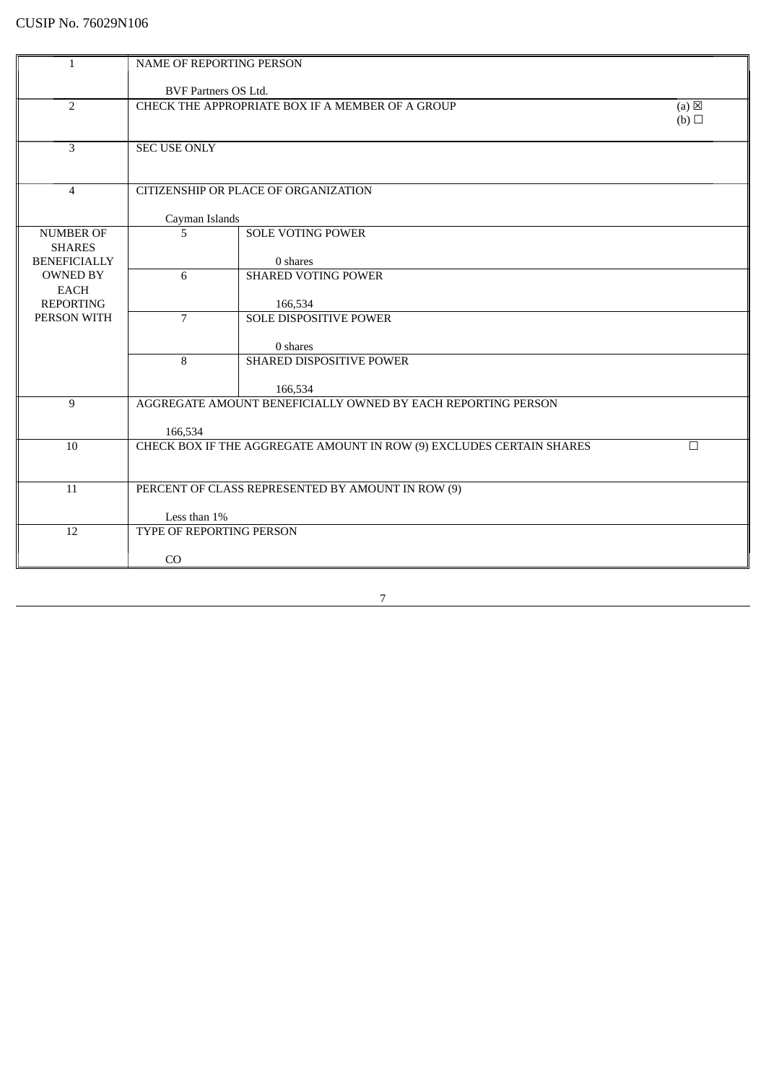| $\mathbf{1}$                      | NAME OF REPORTING PERSON    |                                                                            |        |  |
|-----------------------------------|-----------------------------|----------------------------------------------------------------------------|--------|--|
|                                   | <b>BVF Partners OS Ltd.</b> |                                                                            |        |  |
| $\overline{2}$                    |                             | $(a) \boxtimes$<br>CHECK THE APPROPRIATE BOX IF A MEMBER OF A GROUP<br>(b) |        |  |
| 3                                 | SEC USE ONLY                |                                                                            |        |  |
| $\overline{4}$                    |                             | CITIZENSHIP OR PLACE OF ORGANIZATION                                       |        |  |
|                                   | Cayman Islands              |                                                                            |        |  |
| <b>NUMBER OF</b><br><b>SHARES</b> | 5                           | <b>SOLE VOTING POWER</b>                                                   |        |  |
| <b>BENEFICIALLY</b>               |                             | 0 shares                                                                   |        |  |
| <b>OWNED BY</b>                   | 6                           | <b>SHARED VOTING POWER</b>                                                 |        |  |
| <b>EACH</b><br><b>REPORTING</b>   |                             | 166,534                                                                    |        |  |
| PERSON WITH                       | $\overline{7}$              | <b>SOLE DISPOSITIVE POWER</b>                                              |        |  |
|                                   |                             | 0 shares                                                                   |        |  |
|                                   | 8                           | SHARED DISPOSITIVE POWER                                                   |        |  |
|                                   |                             | 166,534                                                                    |        |  |
| 9                                 |                             | AGGREGATE AMOUNT BENEFICIALLY OWNED BY EACH REPORTING PERSON               |        |  |
|                                   | 166,534                     |                                                                            |        |  |
| 10                                |                             | CHECK BOX IF THE AGGREGATE AMOUNT IN ROW (9) EXCLUDES CERTAIN SHARES       | $\Box$ |  |
|                                   |                             |                                                                            |        |  |
| 11                                |                             | PERCENT OF CLASS REPRESENTED BY AMOUNT IN ROW (9)                          |        |  |
|                                   | Less than 1%                |                                                                            |        |  |
| 12                                | TYPE OF REPORTING PERSON    |                                                                            |        |  |
|                                   | CO                          |                                                                            |        |  |
|                                   |                             |                                                                            |        |  |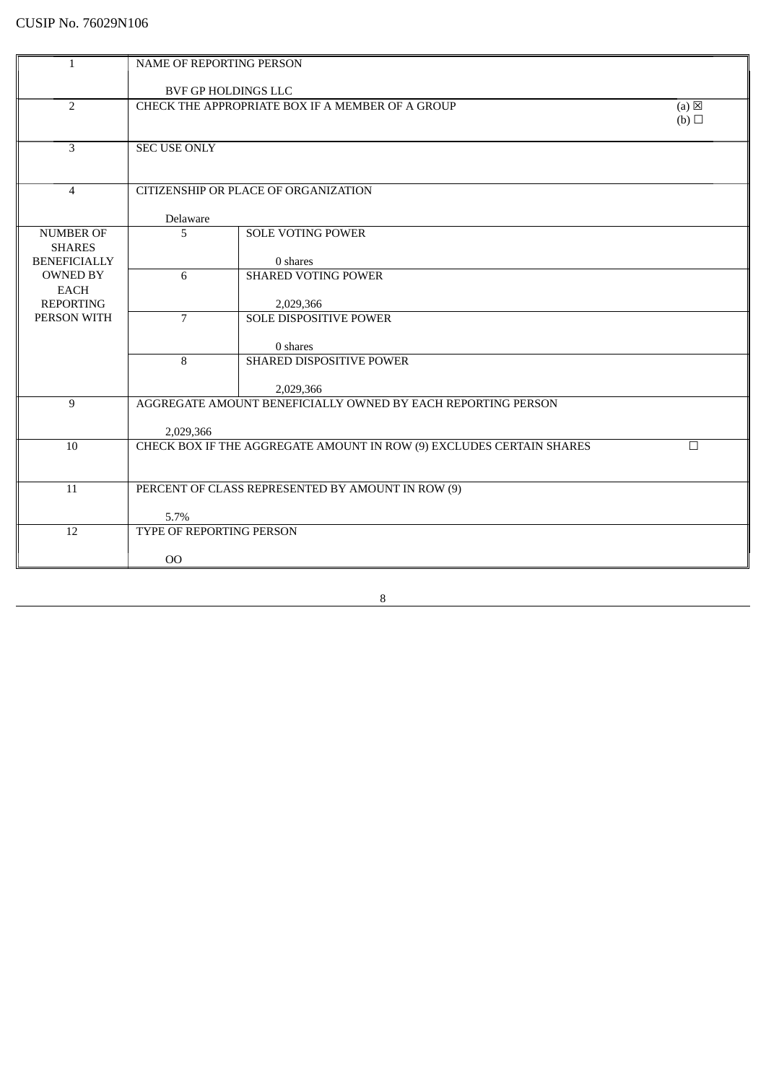| $\mathbf{1}$                    | NAME OF REPORTING PERSON                                            |                                                                      |        |
|---------------------------------|---------------------------------------------------------------------|----------------------------------------------------------------------|--------|
|                                 |                                                                     |                                                                      |        |
|                                 | BVF GP HOLDINGS LLC                                                 |                                                                      |        |
| $\overline{2}$                  | $(a) \boxtimes$<br>CHECK THE APPROPRIATE BOX IF A MEMBER OF A GROUP |                                                                      |        |
|                                 |                                                                     |                                                                      | (b)    |
|                                 |                                                                     |                                                                      |        |
| 3                               | <b>SEC USE ONLY</b>                                                 |                                                                      |        |
|                                 |                                                                     |                                                                      |        |
| $\overline{4}$                  |                                                                     | CITIZENSHIP OR PLACE OF ORGANIZATION                                 |        |
|                                 |                                                                     |                                                                      |        |
|                                 | Delaware                                                            |                                                                      |        |
| <b>NUMBER OF</b>                | 5                                                                   | <b>SOLE VOTING POWER</b>                                             |        |
| <b>SHARES</b>                   |                                                                     |                                                                      |        |
| <b>BENEFICIALLY</b>             |                                                                     | 0 shares                                                             |        |
| <b>OWNED BY</b>                 | 6                                                                   | <b>SHARED VOTING POWER</b>                                           |        |
| <b>EACH</b><br><b>REPORTING</b> |                                                                     | 2,029,366                                                            |        |
| PERSON WITH                     | $\overline{7}$                                                      | <b>SOLE DISPOSITIVE POWER</b>                                        |        |
|                                 |                                                                     |                                                                      |        |
|                                 |                                                                     | 0 shares                                                             |        |
|                                 | 8                                                                   | SHARED DISPOSITIVE POWER                                             |        |
|                                 |                                                                     |                                                                      |        |
|                                 |                                                                     | 2,029,366                                                            |        |
| 9                               |                                                                     | AGGREGATE AMOUNT BENEFICIALLY OWNED BY EACH REPORTING PERSON         |        |
|                                 | 2,029,366                                                           |                                                                      |        |
| 10                              |                                                                     | CHECK BOX IF THE AGGREGATE AMOUNT IN ROW (9) EXCLUDES CERTAIN SHARES | $\Box$ |
|                                 |                                                                     |                                                                      |        |
|                                 |                                                                     |                                                                      |        |
| 11                              |                                                                     | PERCENT OF CLASS REPRESENTED BY AMOUNT IN ROW (9)                    |        |
|                                 |                                                                     |                                                                      |        |
| 12                              | 5.7%<br>TYPE OF REPORTING PERSON                                    |                                                                      |        |
|                                 |                                                                     |                                                                      |        |
|                                 | 00                                                                  |                                                                      |        |
|                                 |                                                                     |                                                                      |        |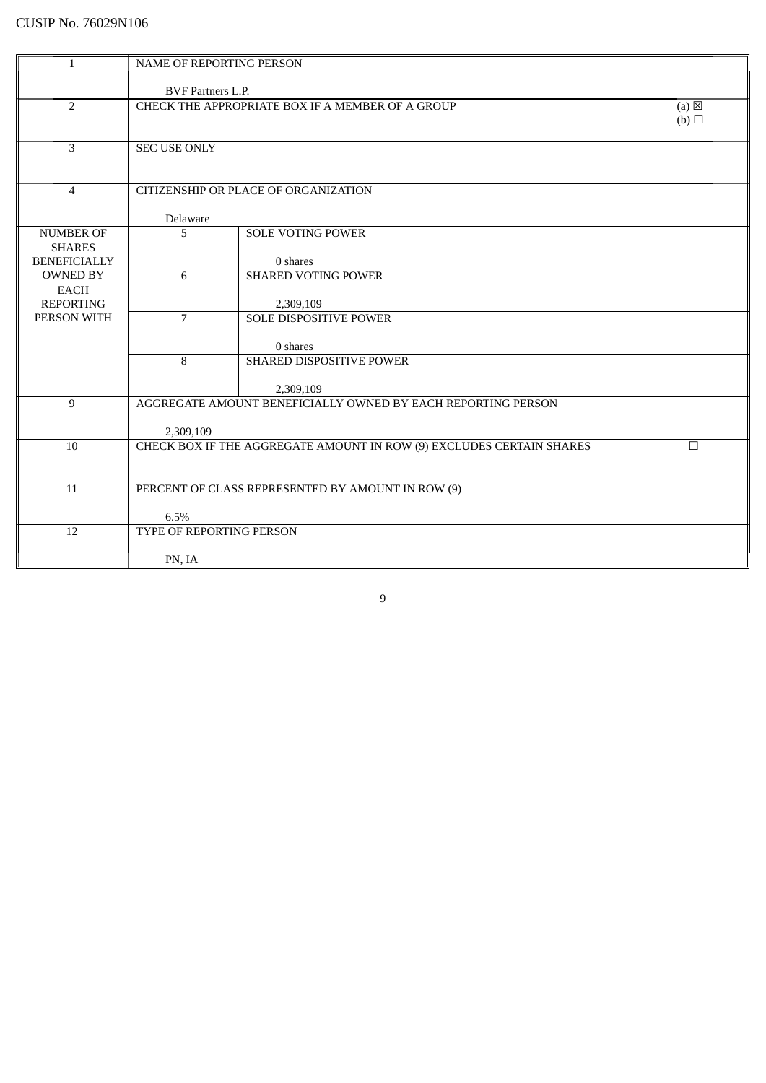| $\mathbf{1}$                      | NAME OF REPORTING PERSON                          |                                                                           |        |
|-----------------------------------|---------------------------------------------------|---------------------------------------------------------------------------|--------|
|                                   | <b>BVF Partners L.P.</b>                          |                                                                           |        |
| $\overline{2}$                    |                                                   | CHECK THE APPROPRIATE BOX IF A MEMBER OF A GROUP                          | (a)    |
|                                   |                                                   |                                                                           | (b)    |
| 3                                 | <b>SEC USE ONLY</b>                               |                                                                           |        |
|                                   |                                                   |                                                                           |        |
| $\overline{4}$                    |                                                   | CITIZENSHIP OR PLACE OF ORGANIZATION                                      |        |
|                                   | Delaware                                          |                                                                           |        |
| <b>NUMBER OF</b><br><b>SHARES</b> | 5                                                 | <b>SOLE VOTING POWER</b>                                                  |        |
| <b>BENEFICIALLY</b>               |                                                   | 0 shares                                                                  |        |
| <b>OWNED BY</b><br><b>EACH</b>    | 6                                                 | <b>SHARED VOTING POWER</b>                                                |        |
| <b>REPORTING</b>                  |                                                   | 2,309,109                                                                 |        |
| PERSON WITH                       | $\overline{7}$                                    | <b>SOLE DISPOSITIVE POWER</b>                                             |        |
|                                   |                                                   | 0 shares                                                                  |        |
|                                   | 8                                                 | SHARED DISPOSITIVE POWER                                                  |        |
| 9                                 |                                                   | 2,309,109<br>AGGREGATE AMOUNT BENEFICIALLY OWNED BY EACH REPORTING PERSON |        |
|                                   |                                                   |                                                                           |        |
| 10                                | 2,309,109                                         | CHECK BOX IF THE AGGREGATE AMOUNT IN ROW (9) EXCLUDES CERTAIN SHARES      | $\Box$ |
|                                   |                                                   |                                                                           |        |
| 11                                | PERCENT OF CLASS REPRESENTED BY AMOUNT IN ROW (9) |                                                                           |        |
|                                   |                                                   |                                                                           |        |
| 12                                | 6.5%<br>TYPE OF REPORTING PERSON                  |                                                                           |        |
|                                   |                                                   |                                                                           |        |
|                                   | PN, IA                                            |                                                                           |        |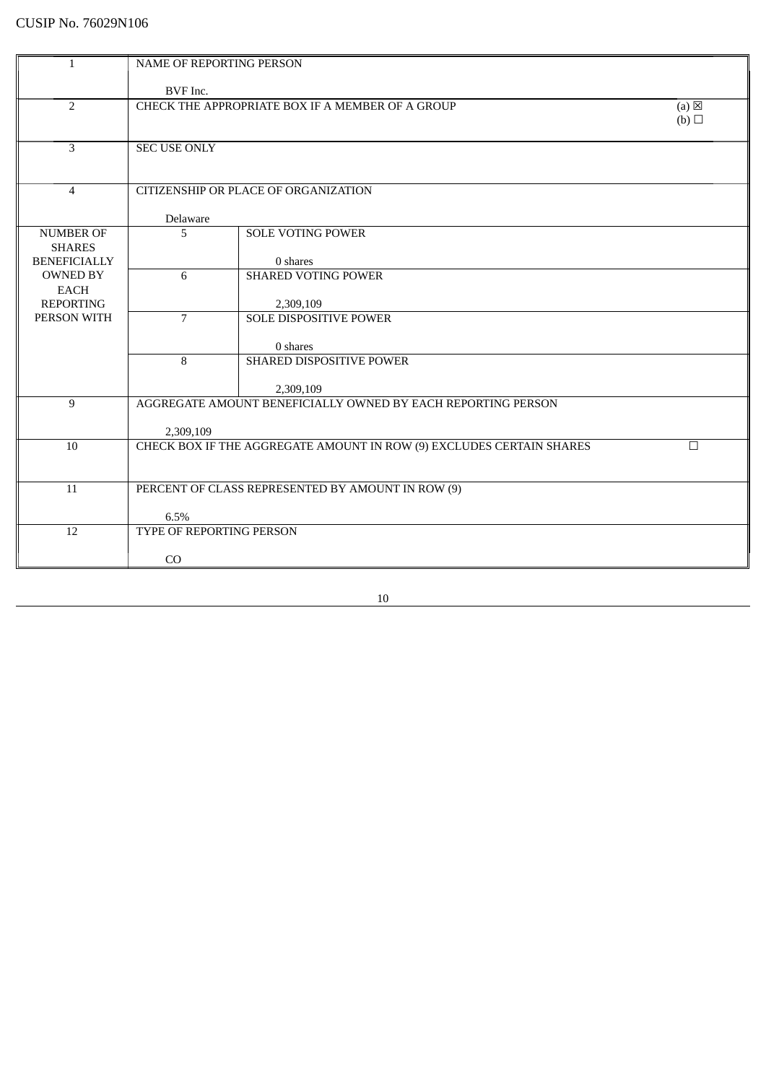| $\mathbf{1}$        | NAME OF REPORTING PERSON |                                                                      |                 |
|---------------------|--------------------------|----------------------------------------------------------------------|-----------------|
|                     |                          |                                                                      |                 |
|                     | BVF Inc.                 |                                                                      |                 |
| 2                   |                          | CHECK THE APPROPRIATE BOX IF A MEMBER OF A GROUP                     | $(a) \boxtimes$ |
|                     |                          |                                                                      | (b)             |
|                     |                          |                                                                      |                 |
| 3                   | <b>SEC USE ONLY</b>      |                                                                      |                 |
|                     |                          |                                                                      |                 |
|                     |                          |                                                                      |                 |
| $\overline{4}$      |                          | CITIZENSHIP OR PLACE OF ORGANIZATION                                 |                 |
|                     |                          |                                                                      |                 |
| <b>NUMBER OF</b>    | Delaware<br>5            | <b>SOLE VOTING POWER</b>                                             |                 |
| <b>SHARES</b>       |                          |                                                                      |                 |
| <b>BENEFICIALLY</b> |                          | 0 shares                                                             |                 |
| <b>OWNED BY</b>     | 6                        | <b>SHARED VOTING POWER</b>                                           |                 |
| <b>EACH</b>         |                          |                                                                      |                 |
| <b>REPORTING</b>    |                          | 2,309,109                                                            |                 |
| PERSON WITH         | $\overline{7}$           | <b>SOLE DISPOSITIVE POWER</b>                                        |                 |
|                     |                          |                                                                      |                 |
|                     |                          | 0 shares                                                             |                 |
|                     | 8                        | <b>SHARED DISPOSITIVE POWER</b>                                      |                 |
|                     |                          |                                                                      |                 |
|                     |                          | 2,309,109                                                            |                 |
| 9                   |                          | AGGREGATE AMOUNT BENEFICIALLY OWNED BY EACH REPORTING PERSON         |                 |
|                     |                          |                                                                      |                 |
|                     | 2,309,109                |                                                                      |                 |
| 10                  |                          | CHECK BOX IF THE AGGREGATE AMOUNT IN ROW (9) EXCLUDES CERTAIN SHARES | $\Box$          |
|                     |                          |                                                                      |                 |
|                     |                          |                                                                      |                 |
| 11                  |                          | PERCENT OF CLASS REPRESENTED BY AMOUNT IN ROW (9)                    |                 |
|                     | 6.5%                     |                                                                      |                 |
| 12                  | TYPE OF REPORTING PERSON |                                                                      |                 |
|                     |                          |                                                                      |                 |
|                     | CO                       |                                                                      |                 |
|                     |                          |                                                                      |                 |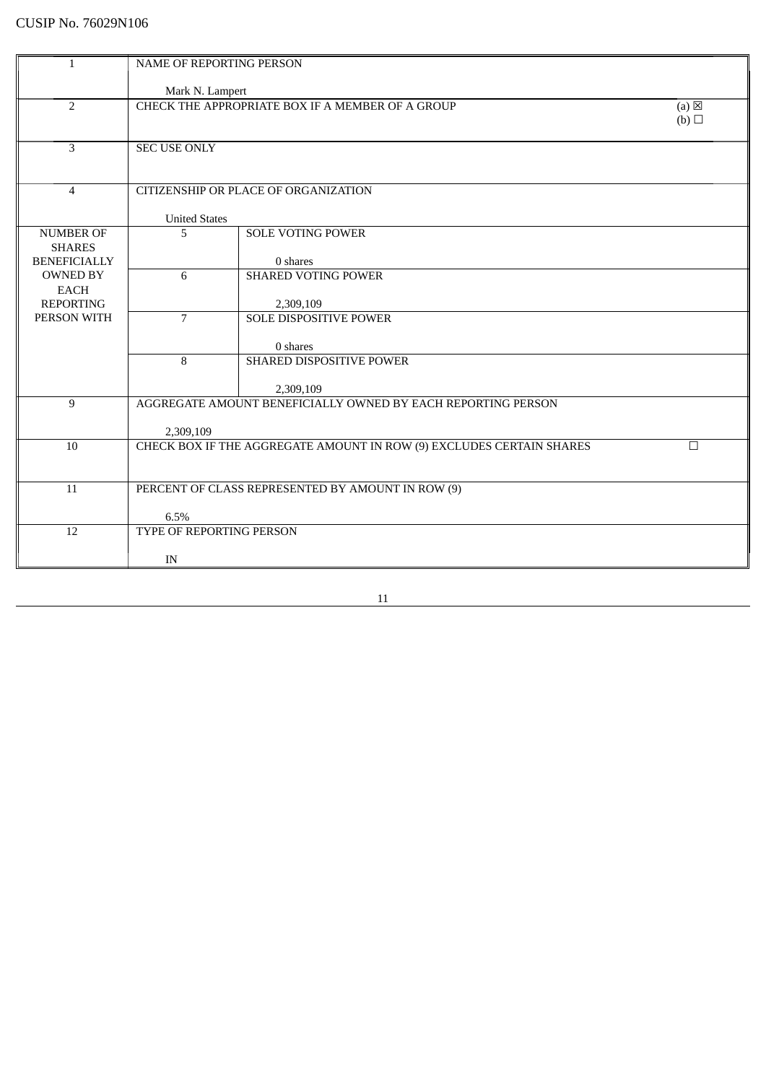| $\mathbf{1}$                         |                          |                                                                      |                 |
|--------------------------------------|--------------------------|----------------------------------------------------------------------|-----------------|
|                                      | NAME OF REPORTING PERSON |                                                                      |                 |
|                                      | Mark N. Lampert          |                                                                      |                 |
| $\overline{2}$                       |                          | CHECK THE APPROPRIATE BOX IF A MEMBER OF A GROUP                     | $(a) \boxtimes$ |
|                                      |                          |                                                                      | (b)             |
|                                      |                          |                                                                      |                 |
| $\overline{3}$                       | <b>SEC USE ONLY</b>      |                                                                      |                 |
|                                      |                          |                                                                      |                 |
|                                      |                          |                                                                      |                 |
| $\overline{4}$                       |                          | CITIZENSHIP OR PLACE OF ORGANIZATION                                 |                 |
|                                      |                          |                                                                      |                 |
|                                      | <b>United States</b>     |                                                                      |                 |
| <b>NUMBER OF</b>                     | 5                        | <b>SOLE VOTING POWER</b>                                             |                 |
| <b>SHARES</b><br><b>BENEFICIALLY</b> |                          | 0 shares                                                             |                 |
| <b>OWNED BY</b>                      | 6                        | <b>SHARED VOTING POWER</b>                                           |                 |
| <b>EACH</b>                          |                          |                                                                      |                 |
| <b>REPORTING</b>                     |                          | 2,309,109                                                            |                 |
| PERSON WITH                          | $\overline{7}$           | <b>SOLE DISPOSITIVE POWER</b>                                        |                 |
|                                      |                          |                                                                      |                 |
|                                      |                          | 0 shares                                                             |                 |
|                                      | 8                        | SHARED DISPOSITIVE POWER                                             |                 |
|                                      |                          |                                                                      |                 |
|                                      |                          | 2,309,109                                                            |                 |
| 9                                    |                          | AGGREGATE AMOUNT BENEFICIALLY OWNED BY EACH REPORTING PERSON         |                 |
|                                      | 2,309,109                |                                                                      |                 |
| 10                                   |                          | CHECK BOX IF THE AGGREGATE AMOUNT IN ROW (9) EXCLUDES CERTAIN SHARES | $\Box$          |
|                                      |                          |                                                                      |                 |
|                                      |                          |                                                                      |                 |
| 11                                   |                          | PERCENT OF CLASS REPRESENTED BY AMOUNT IN ROW (9)                    |                 |
|                                      |                          |                                                                      |                 |
|                                      | 6.5%                     |                                                                      |                 |
| $\overline{12}$                      | TYPE OF REPORTING PERSON |                                                                      |                 |
|                                      |                          |                                                                      |                 |
|                                      | IN                       |                                                                      |                 |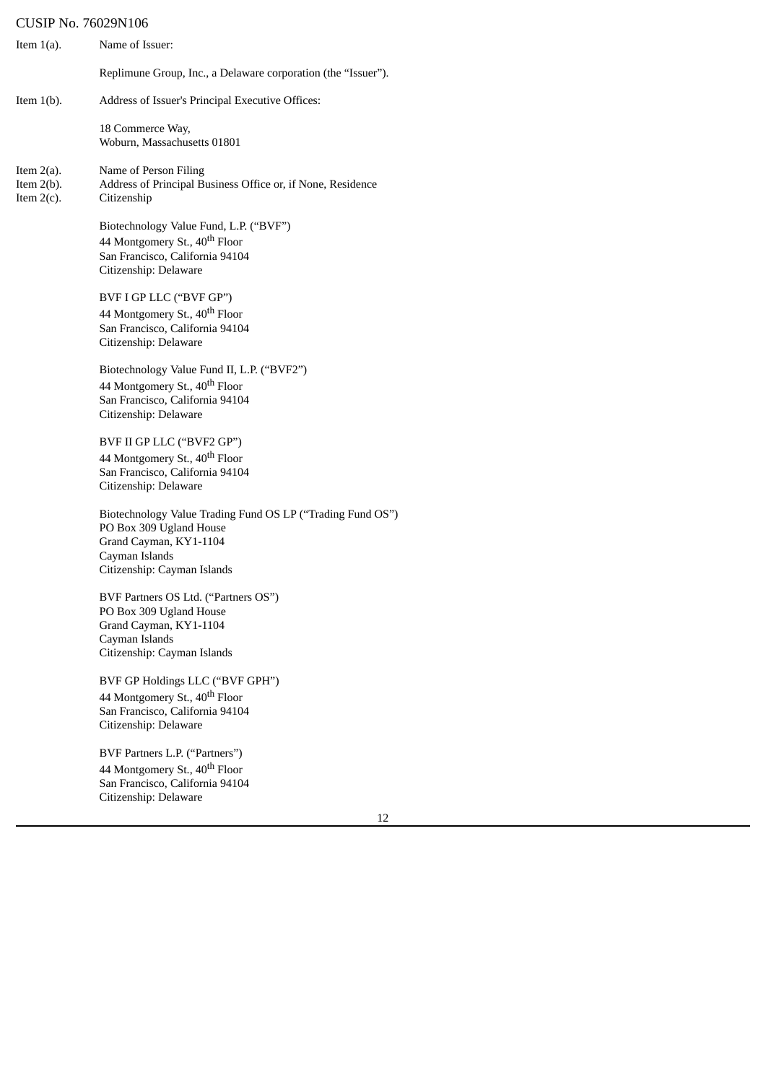| Item $1(a)$ .                                   | Name of Issuer:                                                                                                                                                  |
|-------------------------------------------------|------------------------------------------------------------------------------------------------------------------------------------------------------------------|
|                                                 | Replimune Group, Inc., a Delaware corporation (the "Issuer").                                                                                                    |
| Item $1(b)$ .                                   | Address of Issuer's Principal Executive Offices:                                                                                                                 |
|                                                 | 18 Commerce Way,<br>Woburn, Massachusetts 01801                                                                                                                  |
| Item $2(a)$ .<br>Item $2(b)$ .<br>Item $2(c)$ . | Name of Person Filing<br>Address of Principal Business Office or, if None, Residence<br>Citizenship                                                              |
|                                                 | Biotechnology Value Fund, L.P. ("BVF")<br>44 Montgomery St., 40 <sup>th</sup> Floor<br>San Francisco, California 94104<br>Citizenship: Delaware                  |
|                                                 | BVF I GP LLC ("BVF GP")<br>44 Montgomery St., 40 <sup>th</sup> Floor<br>San Francisco, California 94104<br>Citizenship: Delaware                                 |
|                                                 | Biotechnology Value Fund II, L.P. ("BVF2")<br>44 Montgomery St., 40 <sup>th</sup> Floor<br>San Francisco, California 94104<br>Citizenship: Delaware              |
|                                                 | BVF II GP LLC ("BVF2 GP")<br>44 Montgomery St., 40 <sup>th</sup> Floor<br>San Francisco, California 94104<br>Citizenship: Delaware                               |
|                                                 | Biotechnology Value Trading Fund OS LP ("Trading Fund OS")<br>PO Box 309 Ugland House<br>Grand Cayman, KY1-1104<br>Cayman Islands<br>Citizenship: Cayman Islands |
|                                                 | BVF Partners OS Ltd. ("Partners OS")<br>PO Box 309 Ugland House<br>Grand Cayman, KY1-1104<br>Cayman Islands<br>Citizenship: Cayman Islands                       |
|                                                 | BVF GP Holdings LLC ("BVF GPH")<br>44 Montgomery St., 40 <sup>th</sup> Floor<br>San Francisco, California 94104<br>Citizenship: Delaware                         |
|                                                 | BVF Partners L.P. ("Partners")<br>44 Montgomery St., 40 <sup>th</sup> Floor<br>San Francisco, California 94104<br>Citizenship: Delaware                          |
|                                                 | 12                                                                                                                                                               |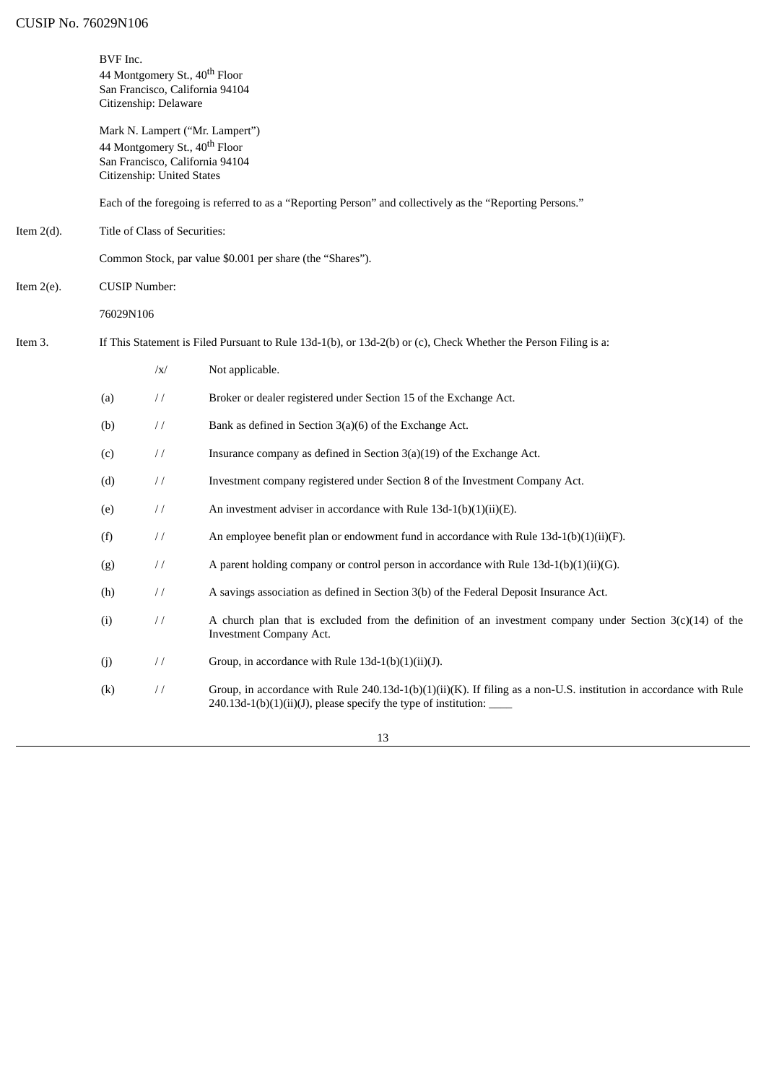|               | BVF Inc.<br>44 Montgomery St., 40 <sup>th</sup> Floor<br>San Francisco, California 94104<br>Citizenship: Delaware                             |                               |                                                                                                                                                                                             |
|---------------|-----------------------------------------------------------------------------------------------------------------------------------------------|-------------------------------|---------------------------------------------------------------------------------------------------------------------------------------------------------------------------------------------|
|               | Mark N. Lampert ("Mr. Lampert")<br>44 Montgomery St., 40 <sup>th</sup> Floor<br>San Francisco, California 94104<br>Citizenship: United States |                               |                                                                                                                                                                                             |
|               |                                                                                                                                               |                               | Each of the foregoing is referred to as a "Reporting Person" and collectively as the "Reporting Persons."                                                                                   |
| Item $2(d)$ . |                                                                                                                                               | Title of Class of Securities: |                                                                                                                                                                                             |
|               |                                                                                                                                               |                               | Common Stock, par value \$0.001 per share (the "Shares").                                                                                                                                   |
| Item $2(e)$ . | <b>CUSIP Number:</b>                                                                                                                          |                               |                                                                                                                                                                                             |
|               | 76029N106                                                                                                                                     |                               |                                                                                                                                                                                             |
| Item 3.       | If This Statement is Filed Pursuant to Rule 13d-1(b), or 13d-2(b) or (c), Check Whether the Person Filing is a:                               |                               |                                                                                                                                                                                             |
|               |                                                                                                                                               | $\sqrt{x}$                    | Not applicable.                                                                                                                                                                             |
|               | (a)                                                                                                                                           | $\frac{1}{2}$                 | Broker or dealer registered under Section 15 of the Exchange Act.                                                                                                                           |
|               | (b)                                                                                                                                           | $\frac{1}{2}$                 | Bank as defined in Section 3(a)(6) of the Exchange Act.                                                                                                                                     |
|               | (c)                                                                                                                                           | $\frac{1}{2}$                 | Insurance company as defined in Section 3(a)(19) of the Exchange Act.                                                                                                                       |
|               | (d)                                                                                                                                           | $\frac{1}{2}$                 | Investment company registered under Section 8 of the Investment Company Act.                                                                                                                |
|               | (e)                                                                                                                                           | $\frac{1}{2}$                 | An investment adviser in accordance with Rule $13d-1(b)(1)(ii)(E)$ .                                                                                                                        |
|               | (f)                                                                                                                                           | $\frac{1}{2}$                 | An employee benefit plan or endowment fund in accordance with Rule $13d-1(b)(1)(ii)(F)$ .                                                                                                   |
|               | (g)                                                                                                                                           | $\frac{1}{2}$                 | A parent holding company or control person in accordance with Rule $13d-1(b)(1)(ii)(G)$ .                                                                                                   |
|               | (h)                                                                                                                                           | $\frac{1}{2}$                 | A savings association as defined in Section 3(b) of the Federal Deposit Insurance Act.                                                                                                      |
|               | (i)                                                                                                                                           | $\frac{1}{2}$                 | A church plan that is excluded from the definition of an investment company under Section $3(c)(14)$ of the<br><b>Investment Company Act.</b>                                               |
|               | (j)                                                                                                                                           | $\!\!/\!\!/\!\!$              | Group, in accordance with Rule 13d-1(b)(1)(ii)(J).                                                                                                                                          |
|               | (k)                                                                                                                                           | $\!\!/\!\!/$                  | Group, in accordance with Rule 240.13d-1(b)(1)(ii)(K). If filing as a non-U.S. institution in accordance with Rule<br>240.13d-1(b)(1)(ii)(J), please specify the type of institution: _____ |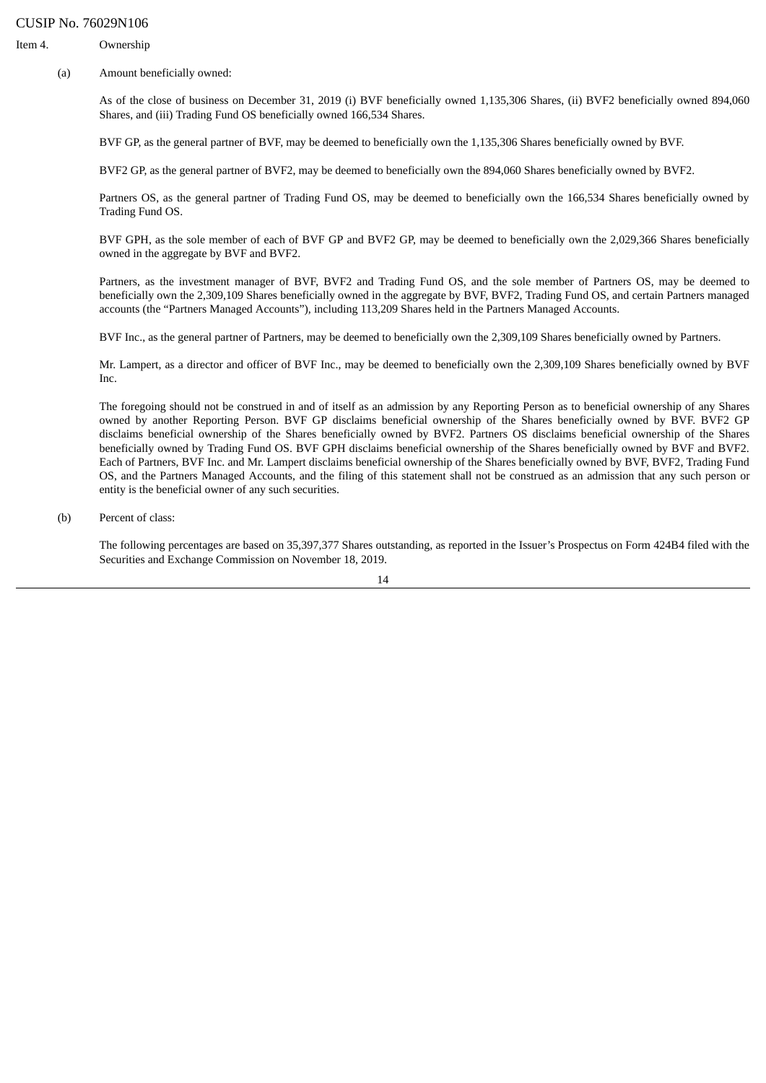Item 4. Ownership

(a) Amount beneficially owned:

As of the close of business on December 31, 2019 (i) BVF beneficially owned 1,135,306 Shares, (ii) BVF2 beneficially owned 894,060 Shares, and (iii) Trading Fund OS beneficially owned 166,534 Shares.

BVF GP, as the general partner of BVF, may be deemed to beneficially own the 1,135,306 Shares beneficially owned by BVF.

BVF2 GP, as the general partner of BVF2, may be deemed to beneficially own the 894,060 Shares beneficially owned by BVF2.

Partners OS, as the general partner of Trading Fund OS, may be deemed to beneficially own the 166,534 Shares beneficially owned by Trading Fund OS.

BVF GPH, as the sole member of each of BVF GP and BVF2 GP, may be deemed to beneficially own the 2,029,366 Shares beneficially owned in the aggregate by BVF and BVF2.

Partners, as the investment manager of BVF, BVF2 and Trading Fund OS, and the sole member of Partners OS, may be deemed to beneficially own the 2,309,109 Shares beneficially owned in the aggregate by BVF, BVF2, Trading Fund OS, and certain Partners managed accounts (the "Partners Managed Accounts"), including 113,209 Shares held in the Partners Managed Accounts.

BVF Inc., as the general partner of Partners, may be deemed to beneficially own the 2,309,109 Shares beneficially owned by Partners.

Mr. Lampert, as a director and officer of BVF Inc., may be deemed to beneficially own the 2,309,109 Shares beneficially owned by BVF Inc.

The foregoing should not be construed in and of itself as an admission by any Reporting Person as to beneficial ownership of any Shares owned by another Reporting Person. BVF GP disclaims beneficial ownership of the Shares beneficially owned by BVF. BVF2 GP disclaims beneficial ownership of the Shares beneficially owned by BVF2. Partners OS disclaims beneficial ownership of the Shares beneficially owned by Trading Fund OS. BVF GPH disclaims beneficial ownership of the Shares beneficially owned by BVF and BVF2. Each of Partners, BVF Inc. and Mr. Lampert disclaims beneficial ownership of the Shares beneficially owned by BVF, BVF2, Trading Fund OS, and the Partners Managed Accounts, and the filing of this statement shall not be construed as an admission that any such person or entity is the beneficial owner of any such securities.

(b) Percent of class:

The following percentages are based on 35,397,377 Shares outstanding, as reported in the Issuer's Prospectus on Form 424B4 filed with the Securities and Exchange Commission on November 18, 2019.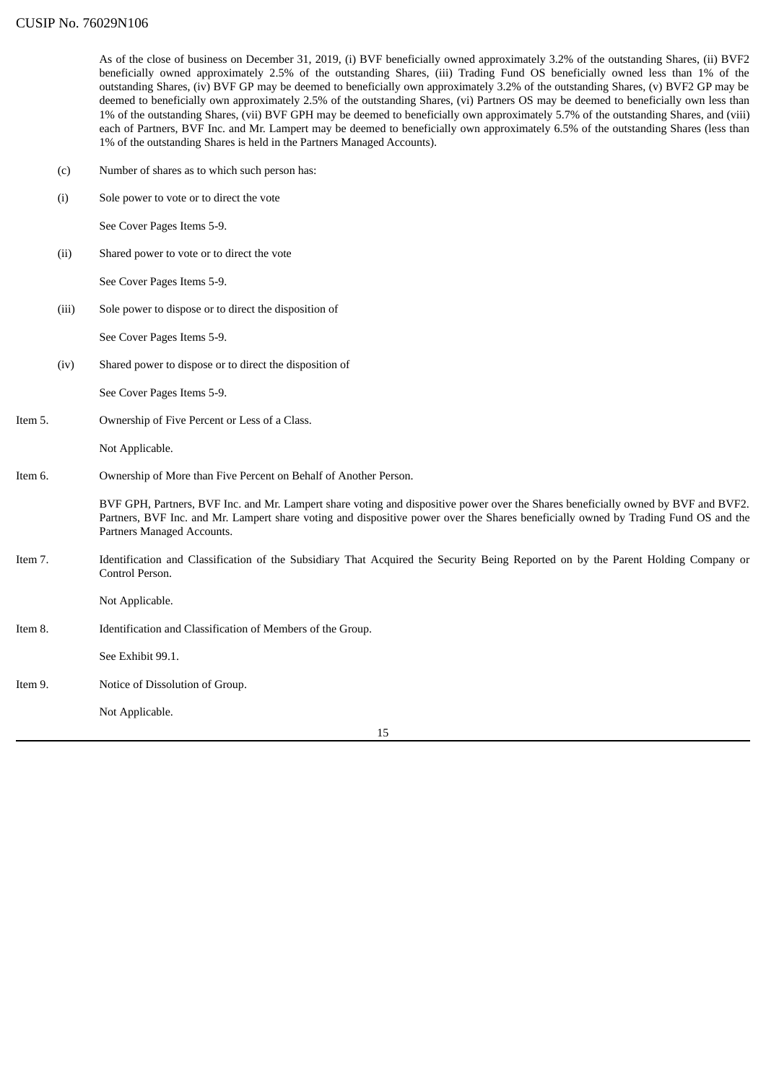As of the close of business on December 31, 2019, (i) BVF beneficially owned approximately 3.2% of the outstanding Shares, (ii) BVF2 beneficially owned approximately 2.5% of the outstanding Shares, (iii) Trading Fund OS beneficially owned less than 1% of the outstanding Shares, (iv) BVF GP may be deemed to beneficially own approximately 3.2% of the outstanding Shares, (v) BVF2 GP may be deemed to beneficially own approximately 2.5% of the outstanding Shares, (vi) Partners OS may be deemed to beneficially own less than 1% of the outstanding Shares, (vii) BVF GPH may be deemed to beneficially own approximately 5.7% of the outstanding Shares, and (viii) each of Partners, BVF Inc. and Mr. Lampert may be deemed to beneficially own approximately 6.5% of the outstanding Shares (less than 1% of the outstanding Shares is held in the Partners Managed Accounts).

- (c) Number of shares as to which such person has:
- (i) Sole power to vote or to direct the vote

See Cover Pages Items 5-9.

(ii) Shared power to vote or to direct the vote

See Cover Pages Items 5-9.

(iii) Sole power to dispose or to direct the disposition of

See Cover Pages Items 5-9.

(iv) Shared power to dispose or to direct the disposition of

See Cover Pages Items 5-9.

Item 5. Ownership of Five Percent or Less of a Class.

Not Applicable.

Item 6. Ownership of More than Five Percent on Behalf of Another Person.

BVF GPH, Partners, BVF Inc. and Mr. Lampert share voting and dispositive power over the Shares beneficially owned by BVF and BVF2. Partners, BVF Inc. and Mr. Lampert share voting and dispositive power over the Shares beneficially owned by Trading Fund OS and the Partners Managed Accounts.

Item 7. Identification and Classification of the Subsidiary That Acquired the Security Being Reported on by the Parent Holding Company or Control Person.

Not Applicable.

Item 8. Identification and Classification of Members of the Group.

See Exhibit 99.1.

Item 9. Notice of Dissolution of Group.

Not Applicable.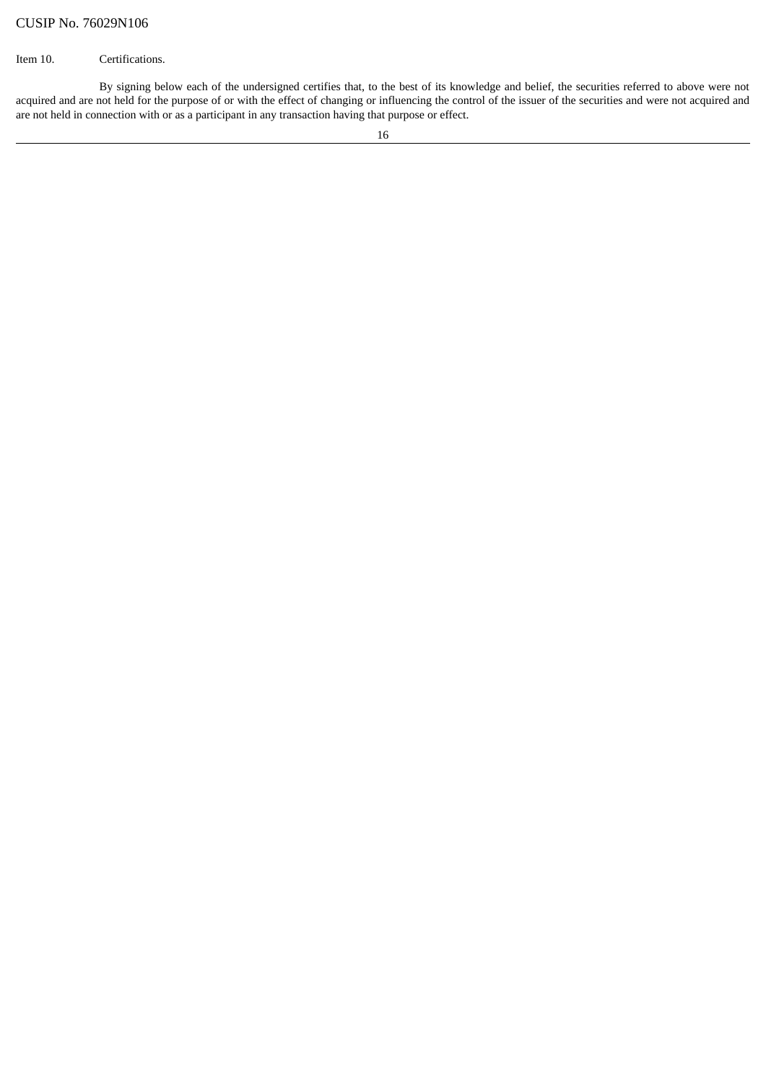## Item 10. Certifications.

By signing below each of the undersigned certifies that, to the best of its knowledge and belief, the securities referred to above were not acquired and are not held for the purpose of or with the effect of changing or influencing the control of the issuer of the securities and were not acquired and are not held in connection with or as a participant in any transaction having that purpose or effect.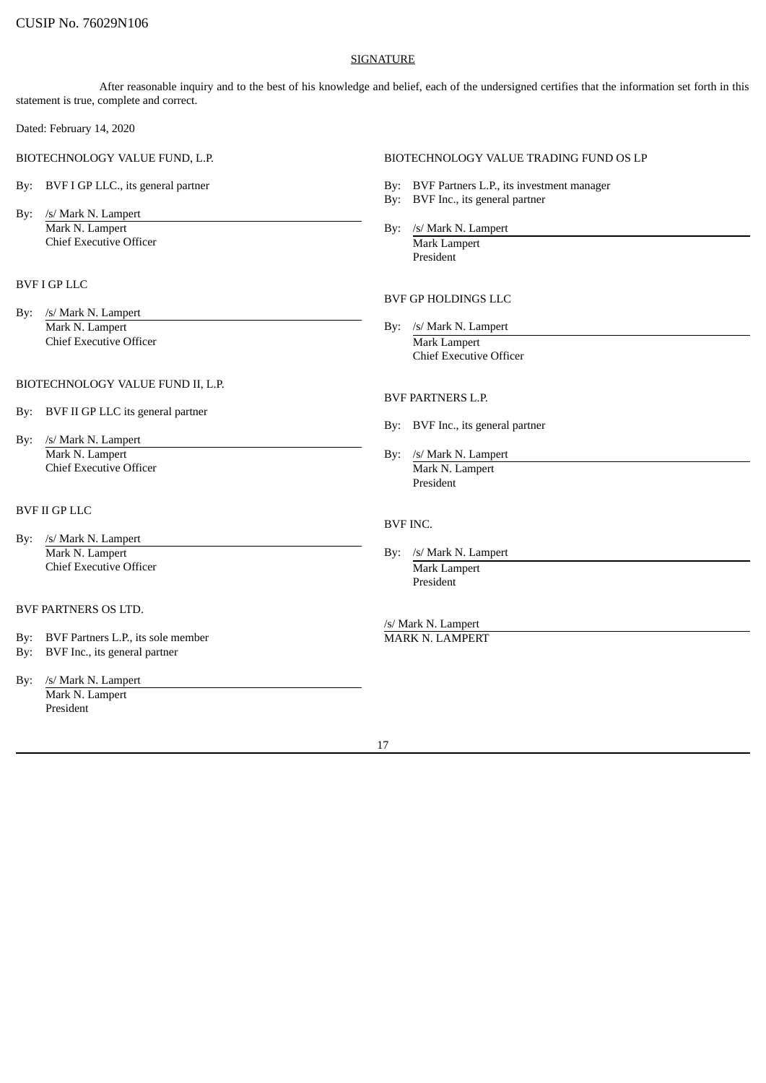#### **SIGNATURE**

After reasonable inquiry and to the best of his knowledge and belief, each of the undersigned certifies that the information set forth in this statement is true, complete and correct.

Dated: February 14, 2020

- 
- By: /s/ Mark N. Lampert Mark N. Lampert By: /s/ Mark N. Lampert Chief Executive Officer **Mark Lampert** Mark Lampert

## BVF I GP LLC

By: /s/ Mark N. Lampert Mark N. Lampert By: /s/ Mark N. Lampert Chief Executive Officer **Mark Lampert** Mark Lampert

#### BIOTECHNOLOGY VALUE FUND II, L.P.

- By: BVF II GP LLC its general partner
- By: /s/ Mark N. Lampert Mark N. Lampert By: /s/ Mark N. Lampert **Chief Executive Officer** Mark N. Lampert

#### BVF II GP LLC

By: /s/ Mark N. Lampert Mark N. Lampert By: /s/ Mark N. Lampert Chief Executive Officer **Mark Lampert** Mark Lampert

#### BVF PARTNERS OS LTD.

- By: BVF Partners L.P., its sole member MARK N. LAMPERT
- By: BVF Inc., its general partner
- By: /s/ Mark N. Lampert Mark N. Lampert President

#### BIOTECHNOLOGY VALUE FUND, L.P. BIOTECHNOLOGY VALUE TRADING FUND OS LP

- By: BVF I GP LLC., its general partner **By: BVF Partners L.P.**, its investment manager
	- By: BVF Inc., its general partner
	- President

### BVF GP HOLDINGS LLC

Chief Executive Officer

#### BVF PARTNERS L.P.

- By: BVF Inc., its general partner
- President

#### BVF INC.

President

/s/ Mark N. Lampert